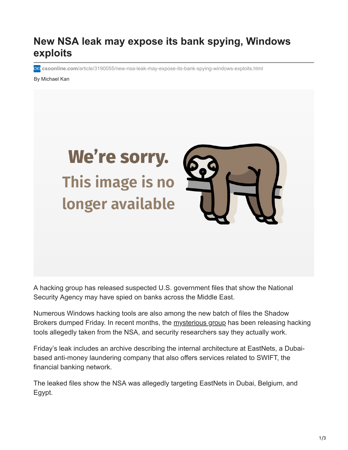## **New NSA leak may expose its bank spying, Windows exploits**

**csoonline.com**[/article/3190055/new-nsa-leak-may-expose-its-bank-spying-windows-exploits.html](https://www.csoonline.com/article/3190055/new-nsa-leak-may-expose-its-bank-spying-windows-exploits.html)

By Michael Kan



A hacking group has released suspected U.S. government files that show the National Security Agency may have spied on banks across the Middle East.

Numerous Windows hacking tools are also among the new batch of files the Shadow Brokers dumped Friday. In recent months, the [mysterious group](https://www.pcworld.com/article/3108531/security/suspected-spycraft-not-hacktivism-swirls-around-alleged-nsa-hack.html) has been releasing hacking tools allegedly taken from the NSA, and security researchers say they actually work.

Friday's leak includes an archive describing the internal architecture at EastNets, a Dubaibased anti-money laundering company that also offers services related to SWIFT, the financial banking network.

The leaked files show the NSA was allegedly targeting EastNets in Dubai, Belgium, and Egypt.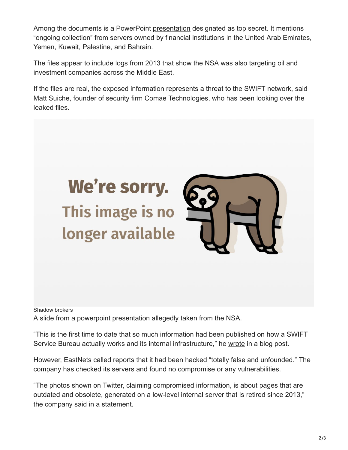Among the documents is a PowerPoint [presentation](https://github.com/DonnchaC/shadowbrokers-exploits/blob/master/swift/JFM_Status.pptx) designated as top secret. It mentions "ongoing collection" from servers owned by financial institutions in the United Arab Emirates, Yemen, Kuwait, Palestine, and Bahrain.

The files appear to include logs from 2013 that show the NSA was also targeting oil and investment companies across the Middle East.

If the files are real, the exposed information represents a threat to the SWIFT network, said Matt Suiche, founder of security firm Comae Technologies, who has been looking over the leaked files.



Shadow brokers A slide from a powerpoint presentation allegedly taken from the NSA.

"This is the first time to date that so much information had been published on how a SWIFT Service Bureau actually works and its internal infrastructure," he [wrote](https://medium.com/@msuiche/the-nsa-compromised-swift-network-50ec3000b195) in a blog post.

However, EastNets [called](http://www.eastnets.com/News_Details/17-04-14/No_credibility_to_the_online_claim_of_a_compromise_of_EastNets_customer_information_on_its_SWIFT_service_bureau.aspx) reports that it had been hacked "totally false and unfounded." The company has checked its servers and found no compromise or any vulnerabilities.

"The photos shown on Twitter, claiming compromised information, is about pages that are outdated and obsolete, generated on a low-level internal server that is retired since 2013," the company said in a statement.